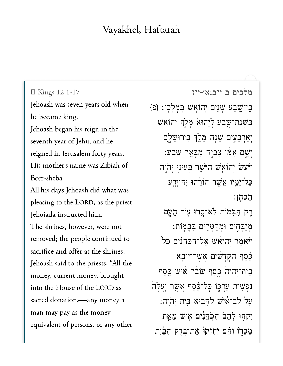## Vayakhel, Haftarah

II Kings 12:1-17 Jehoash was seven years old when he became king. Jehoash began his reign in the seventh year of Jehu, and he reigned in Jerusalem forty years. His mother's name was Zibiah of Beer-sheba. All his days Jehoash did what was pleasing to the LORD, as the priest Jehoiada instructed him. The shrines, however, were not removed; the people continued to sacrifice and offer at the shrines. Jehoash said to the priests, "All the money, current money, brought into the House of the LORD as sacred donations-any money a man may pay as the money equivalent of persons, or any other

מלכים ב י"ב:א׳-י"ז

בֶּן־שֶׁבַע שָׁנִיִם יְהוֹאֲשׁ בְּמָלְכְוֹ: {פּ} בִּשְׁנַת־שֱבַע לְיֵהוּא מָלֵךְ יְהוֹאֵּשׁ וְאַרְבָּעִים שָׁנָה מָלֵךְ בִּירוּשָׁלֶם וְשֵׁם אִמּוֹ צִבְיֶה מִבְּאֵר שָׁבַע: וַיַּּעַשׂ יְהוֹאָשׁ הַיָּשֵׁר בִּעֵינֵי יְהֹוֶה כָּל־יָמֱיו אֲשֵׁר הוֹרָ֫הוּ יִהוֹיַדֵע הכהן: רַק הַבָּמְוֹת לֹא־סֵרוּ עִוֹד הָעֱם מִזַּבְהֶים וְמִקַטְּרֶים בַּבְּמִוֹת: וַיֹּאמֵר יִהוֹאָשׁ אֵל־הַכֹּהֲנִים כֹל [ לֵסֵף הַקֵּדָשִׁים אֲשֶׁר־יוּבָא בִית־יְהֹוָהֹ כֵּסֶף עוֹבֵר אִישׁ כֵּסֶף נַפִּשְׁוֹת עֶרְכָּוֹ כָּל־כֶּׁסֶף אֲשֶׁר יְעֲלֶה ַעֲל לֵב־אִישׁ לְהָבִיא בֵּית יְהֹוֵה: יִקְחָוּ לָהֶםׂ הַכְּהֲנִים אֵישׁ מֵאֵת מַכָּרָוֹ וְהֵם יִחַזְּקוּ אֵת־בֵּדֵק הַבַּיִת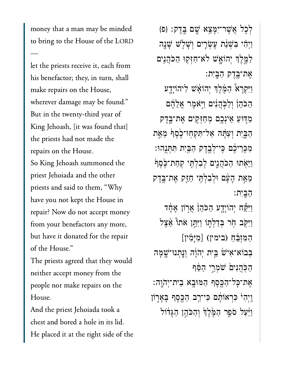money that a man may be minded to bring to the House of the LORD let the priests receive it, each from

let the priests receive it, each from  $\begin{array}{ccc} \text{1} & \text{1} & \text{1} & \text{1} & \text{1} & \text{1} & \text{1} & \text{1} & \text{1} & \text{1} & \text{1} & \text{1} & \text{1} & \text{1} & \text{1} & \text{1} & \text{1} & \text{1} & \text{1} & \text{1} & \text{1} & \text{1} & \text{1} & \text{1} & \text{1} & \text{1} & \text{1} & \text{1} & \text{1} & \text{1} & \text{1} & \text{1} & \text{1} & \text{1} & \text{1} & \text{$ make repairs on the House, wherever damage may be found."  $\mathbf{E} \cdot \mathbf{E} \cdot \mathbf{I} \cdot \mathbf{I} \cdot \mathbf{I} \cdot \mathbf{I} \cdot \mathbf{I} \cdot \mathbf{I}$ King Jehoash, [it was found that] the priests had not made the repairs on the House. So King Jehoash summoned the priest Jehoiada and the other priests and said to them, "Why have you not kept the House in repair? Now do not accept money from your benefactors any more, but have it donated for the repair of the House."

The priests agreed that they would neither accept money from the  $\frac{1}{1}$ And the priest Jehoiada took a

And the priest Jehoiada took a chest and bored a hole in its lid. He placed it at the right side of the

 $\{e\}$  לְכָל אֲשֶׁר־יִמָּצֵא שֶׁם בֲדֵק: {פ ַוְיִ֗הי ִּבְׁשַ֨נת ֶעְׂשִ֧רים ְוָׁשֹ֛לׁש ָׁשָ֖נה ַלְמֶלֶךְ יְהוֹאָָשׁ לֹא־חִזְּקִוּ הַכֹּהֲנִים ֶאת־ֶּ֥בֶדק ַהָּֽבִית׃ ַוִּיְקָר֩א ַהֶּ֨מֶלְך ְיהֹוָ֜אׁש ִליהֹוָיָ֤דע הַכֹּהֵןؗ וְלַכְּהֲנִים וַיִּאֹמֶר אֲלֵהֶם ַמּ֛דּוַע ֵאיְנֶ֥כם ְמַחְּזִ֖קים ֶאת־ֶּ֣בֶדק ַהַבְּיִת וְעַתָּׁה אַל־תְּקְחִוּ־כֶׂסֵף מֵאֵת ַמְכַּרִיּכֶּ֫ם כֵּי־לְבֶדֶק הַבֵּיִת תִּתְּנֶהוּ: ַוַּיִּאָתוּ הַכֹּהֲנֵים לְבִלְתֶּי קִחַת־כֶּׂסֵף ֵמֵ֣את ָהָ֔עם ּוְלִבְלִּ֥תי ַחֵּ֖זק ֶאת־ֶּ֥בֶדק ַהָּֽבִית׃ וַיִּקַּּׂה יְהוֹיְדֶע הַכֹּהֵןؗ אֲרֹוֹן אֱחָד ַוַיִּקְב הָׂר בְּדַלְתֶו וַיִּתֵּֽן אֹתוֹ אֵצֶל יִי<br>וַיִּקָּב חָר בְּדַלְתֶוֹ וַיִּתֵּן אֹו<br>הַמִּזְבֵּחַ (בימין) [מִיְמִין] בְּבוֹא־אִיּשׁ בֵּיִת יְהֹוֶה וְנֵתְנוּ־שָׁמָּה הכֹּהֲנִים ֹשֹמְרֵי הַפּֿף ָאֶת־כָּל־הַכֵּסֵף הַמּוּּבָא בִית־יְהֹוֶה: ַוְיִהְיֹ כִּרְאוֹתֶׁם כִּי־רַב הַכֵּסֵף בָּאָרְוֹן

וַיַּּעַל סֹפֵר הַמֶּ֫לֵךְ וְהָכֹּהֵן הַגַּדֹּוֹל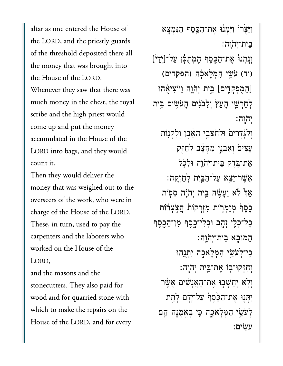altar as one entered the House of  $\overline{\phantom{a}}$ the LORD, and the priestly guards of the threshold deposited there all the money that was brought into the House of the LORD. was  $\frac{1}{1}$  in the chest of the chest, the chest, the chest of the chest of the chest of the chest of the chest of the chest of the chest of the chest of the chest of the chest of the chest of the chest of the chest of the royal s and the high primary  $\frac{1}{2}$  and the high primary  $\frac{1}{2}$  and  $\frac{1}{2}$  and  $\frac{1}{2}$  and  $\frac{1}{2}$  and  $\frac{1}{2}$  and  $\frac{1}{2}$  and  $\frac{1}{2}$  and  $\frac{1}{2}$  and  $\frac{1}{2}$  and  $\frac{1}{2}$  and  $\frac{1}{2}$  and  $\frac{1}{2}$  and scribe and the high priest would come up and put the money accumulated in the House of the  $\overline{I}$  opp  $\overline{I}$  $\ddotsc$  deliver they would delive

Then they would deliver the money that was weighed out to the overseers of the work, who were in  $T = \begin{bmatrix} 1 & \text{I} & \text{II} & \text{II} & \text{II} & \text{II} & \text{II} & \text{II} & \text{II} & \text{II} & \text{II} & \text{II} & \text{II} & \text{II} & \text{II} & \text{II} & \text{II} & \text{II} & \text{II} & \text{II} & \text{II} & \text{II} & \text{II} & \text{II} & \text{II} & \text{II} & \text{II} & \text{II} & \text{II} & \text{II} & \text{II} & \text{II} & \text{II} & \text{II} & \text{II} & \text{II}$ These, in turn, used to pay the carpenters and the laborers who worked on the House of the  $\frac{1}{\sqrt{2}}$ 

and the masons and the stone cutters. They also paid for wood and for quarried stone with which to make the repairs on the House of the LORD, and for every

וַיָּצְׂרוּؗ וַיִּמְנֹוּ אֶת־הַכֵּסֶף הַנְמְצֵא  $:$ ה'הוַה $:$ וְנֵתְנוּٚ אֶת־הַכֶּסֶף הַמְתֻּכָּ֫ן עַל־[יְדֵ<sup>נ</sup>] (יד) עֹּשֵׂי הַמְּלְאֹכְה (הפקדים)  $\frac{1}{\sqrt{2}}$ [הַמְפָקָדִים] בֵּית יְהֹוֶה וַיּּוֹצִיאָ<sub>הוּ</sub> ַלְחָרַשֵׁי הָעֵץׂ וְלַבּׂנִים הָעֹשִׂים בֵּית ְי ֹה ָֽוֹהָֽוה׃ וְלַגְּדִרִים וּלְחֹצָבֵי הָאֵבֵן וְלְקִנָּוֹת עֲצִים וְאֲבְנֵי מַחָּצֵּב לְחַזֵּק אֶת־בֶּדֶק בֵּית־יְהֹוֶה וּלְכָל ֲאֶׁשר־ֵיֵ֥צא ַעל־ַהַּ֖בִית ְלׇחְזָֽקה׃ אַרְ ֿ $\beta$ אַ יֵעֲשֶׂה בֵּית יְהֹוַה סִפּוֹת ַכְּٰםֵף מְזַמְרָוֹת מְזְרָקוֹת הֲצִצְרֹוֹת ּכָּל־כְּלֵי זָהָב וּכִלִי־כָסֵף מִן־הַבֵּסֵף ַהּמּוָ֥בא ֵבית־ְי ֹה ָֽוֹהָֽוה׃ ַּכִּי־לְעֹּשֵׂי הַמְּלָאָכָה יִתְּנֶהוּ ְוִחְּזקּו־֖בֹו ֶאת־ֵּ֥בית ְי ֹה ָֽוֹהָֽוה׃ וִלְא יְחַשִּׁבִוּ אֶת־הָאֲנָשִׁים אֲשֶׁר יִתְּנִוּ אֶת־הַבֶּׂסֵף עַל־יָדָם לָהֵת ַּלְעֹּשֵׂי הַמְּלָאָכָה כֵּי בָאֲמֻנָה הֵם ֹעִֽׂשים׃